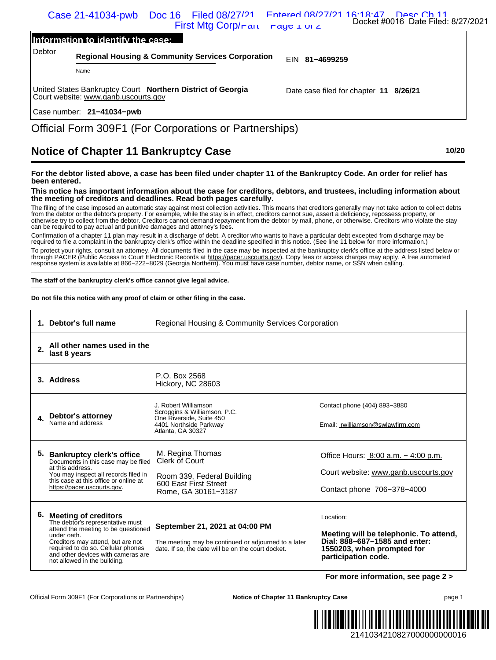| Case 21-41034-pwb Doc 16 Filed 08/27/21 Entered 08/27/21 16:18:47 Desc Ch 11 |                                    |
|------------------------------------------------------------------------------|------------------------------------|
| First Mtg Corp/rand raye $\perp$ or $\angle$                                 | Docket #0016 Date Filed: 8/27/2021 |

## **Information to identify the case:**

## **Notice of Chapter 11 Bankruptcy Case 10/20**

## **For the debtor listed above, a case has been filed under chapter 11 of the Bankruptcy Code. An order for relief has been entered.**

|                                        | Information to identify the case:                                                                                                                                                        |                                                                                                                                                                                                                                                                                                                                                                                                                                                                                                                                                                                                                                                                                                                                                                                                                                                                                                                                                                                                                                                                                                                                                                                                                                                                                                                                                                                                                                                                                                                                                                                                                                                                                                                                                                                                                                                                        |                                                                                                                                           |
|----------------------------------------|------------------------------------------------------------------------------------------------------------------------------------------------------------------------------------------|------------------------------------------------------------------------------------------------------------------------------------------------------------------------------------------------------------------------------------------------------------------------------------------------------------------------------------------------------------------------------------------------------------------------------------------------------------------------------------------------------------------------------------------------------------------------------------------------------------------------------------------------------------------------------------------------------------------------------------------------------------------------------------------------------------------------------------------------------------------------------------------------------------------------------------------------------------------------------------------------------------------------------------------------------------------------------------------------------------------------------------------------------------------------------------------------------------------------------------------------------------------------------------------------------------------------------------------------------------------------------------------------------------------------------------------------------------------------------------------------------------------------------------------------------------------------------------------------------------------------------------------------------------------------------------------------------------------------------------------------------------------------------------------------------------------------------------------------------------------------|-------------------------------------------------------------------------------------------------------------------------------------------|
| Debtor                                 |                                                                                                                                                                                          | <b>Regional Housing &amp; Community Services Corporation</b>                                                                                                                                                                                                                                                                                                                                                                                                                                                                                                                                                                                                                                                                                                                                                                                                                                                                                                                                                                                                                                                                                                                                                                                                                                                                                                                                                                                                                                                                                                                                                                                                                                                                                                                                                                                                           | EIN 81-4699259                                                                                                                            |
| Name                                   |                                                                                                                                                                                          |                                                                                                                                                                                                                                                                                                                                                                                                                                                                                                                                                                                                                                                                                                                                                                                                                                                                                                                                                                                                                                                                                                                                                                                                                                                                                                                                                                                                                                                                                                                                                                                                                                                                                                                                                                                                                                                                        |                                                                                                                                           |
|                                        | Court website: www.ganb.uscourts.gov                                                                                                                                                     | United States Bankruptcy Court Northern District of Georgia                                                                                                                                                                                                                                                                                                                                                                                                                                                                                                                                                                                                                                                                                                                                                                                                                                                                                                                                                                                                                                                                                                                                                                                                                                                                                                                                                                                                                                                                                                                                                                                                                                                                                                                                                                                                            | Date case filed for chapter 11 8/26/21                                                                                                    |
|                                        | Case number: 21-41034-pwb                                                                                                                                                                |                                                                                                                                                                                                                                                                                                                                                                                                                                                                                                                                                                                                                                                                                                                                                                                                                                                                                                                                                                                                                                                                                                                                                                                                                                                                                                                                                                                                                                                                                                                                                                                                                                                                                                                                                                                                                                                                        |                                                                                                                                           |
|                                        |                                                                                                                                                                                          | Official Form 309F1 (For Corporations or Partnerships)                                                                                                                                                                                                                                                                                                                                                                                                                                                                                                                                                                                                                                                                                                                                                                                                                                                                                                                                                                                                                                                                                                                                                                                                                                                                                                                                                                                                                                                                                                                                                                                                                                                                                                                                                                                                                 |                                                                                                                                           |
|                                        |                                                                                                                                                                                          | <b>Notice of Chapter 11 Bankruptcy Case</b>                                                                                                                                                                                                                                                                                                                                                                                                                                                                                                                                                                                                                                                                                                                                                                                                                                                                                                                                                                                                                                                                                                                                                                                                                                                                                                                                                                                                                                                                                                                                                                                                                                                                                                                                                                                                                            | 10/20                                                                                                                                     |
| been entered.<br>1. Debtor's full name |                                                                                                                                                                                          | For the debtor listed above, a case has been filed under chapter 11 of the Bankruptcy Code. An order for relief has<br>This notice has important information about the case for creditors, debtors, and trustees, including information about<br>the meeting of creditors and deadlines. Read both pages carefully.<br>The filing of the case imposed an automatic stay against most collection activities. This means that creditors generally may not take action to collect debts<br>from the debtor or the debtor's property. For example, while the stay is in effect, creditors cannot sue, assert a deficiency, repossess property, or<br>otherwise try to collect from the debtor. Creditors cannot demand repayment from the debtor by mail, phone, or otherwise. Creditors who violate the stay<br>can be required to pay actual and punitive damages and attorney's fees.<br>Confirmation of a chapter 11 plan may result in a discharge of debt. A creditor who wants to have a particular debt excepted from discharge may be<br>required to file a complaint in the bankruptcy clerk's office within the deadline specified in this notice. (See line 11 below for more information.)<br>To protect your rights, consult an attorney. All documents filed in the case may be inspected at the bankruptcy clerk's office at the address listed below or<br>through PACER (Public Access to Court Electronic Records at https://pacer.uscourts.gov). Copy fees or access charges may apply. A free automated<br>response system is available at 866-222-8029 (Georgia Northern). You must have case number, debtor name, or SSN when calling.<br>The staff of the bankruptcy clerk's office cannot give legal advice.<br>Do not file this notice with any proof of claim or other filing in the case.<br>Regional Housing & Community Services Corporation |                                                                                                                                           |
| 2.<br>last 8 years                     | All other names used in the                                                                                                                                                              |                                                                                                                                                                                                                                                                                                                                                                                                                                                                                                                                                                                                                                                                                                                                                                                                                                                                                                                                                                                                                                                                                                                                                                                                                                                                                                                                                                                                                                                                                                                                                                                                                                                                                                                                                                                                                                                                        |                                                                                                                                           |
| 3. Address                             |                                                                                                                                                                                          | P.O. Box 2568<br>Hickory, NC 28603                                                                                                                                                                                                                                                                                                                                                                                                                                                                                                                                                                                                                                                                                                                                                                                                                                                                                                                                                                                                                                                                                                                                                                                                                                                                                                                                                                                                                                                                                                                                                                                                                                                                                                                                                                                                                                     |                                                                                                                                           |
| Debtor's attorney<br>Name and address  |                                                                                                                                                                                          | J. Robert Williamson<br>Scroggins & Williamson, P.C.<br>One Riverside, Suite 450<br>4401 Northside Parkway<br>Atlanta, GA 30327                                                                                                                                                                                                                                                                                                                                                                                                                                                                                                                                                                                                                                                                                                                                                                                                                                                                                                                                                                                                                                                                                                                                                                                                                                                                                                                                                                                                                                                                                                                                                                                                                                                                                                                                        | Contact phone (404) 893-3880<br>Email: rwilliamson@swlawfirm.com                                                                          |
| at this address.                       | 5. Bankruptcy clerk's office<br>Documents in this case may be filed                                                                                                                      | M. Regina Thomas<br><b>Clerk of Court</b>                                                                                                                                                                                                                                                                                                                                                                                                                                                                                                                                                                                                                                                                                                                                                                                                                                                                                                                                                                                                                                                                                                                                                                                                                                                                                                                                                                                                                                                                                                                                                                                                                                                                                                                                                                                                                              | Office Hours: $8:00$ a.m. $-4:00$ p.m.                                                                                                    |
|                                        | You may inspect all records filed in<br>this case at this office or online at<br>https://pacer.uscourts.gov.                                                                             | Room 339, Federal Building<br>600 East First Street<br>Rome, GA 30161-3187                                                                                                                                                                                                                                                                                                                                                                                                                                                                                                                                                                                                                                                                                                                                                                                                                                                                                                                                                                                                                                                                                                                                                                                                                                                                                                                                                                                                                                                                                                                                                                                                                                                                                                                                                                                             | Court website: www.ganb.uscourts.gov<br>Contact phone 706-378-4000                                                                        |
| 6. Meeting of creditors<br>under oath. | The debtor's representative must<br>attend the meeting to be questioned<br>Creditors may attend, but are not<br>required to do so. Cellular phones<br>and other devices with cameras are | September 21, 2021 at 04:00 PM<br>The meeting may be continued or adjourned to a later<br>date. If so, the date will be on the court docket.                                                                                                                                                                                                                                                                                                                                                                                                                                                                                                                                                                                                                                                                                                                                                                                                                                                                                                                                                                                                                                                                                                                                                                                                                                                                                                                                                                                                                                                                                                                                                                                                                                                                                                                           | Location:<br>Meeting will be telephonic. To attend,<br>Dial: 888-687-1585 and enter:<br>1550203, when prompted for<br>participation code. |
|                                        | not allowed in the building.                                                                                                                                                             |                                                                                                                                                                                                                                                                                                                                                                                                                                                                                                                                                                                                                                                                                                                                                                                                                                                                                                                                                                                                                                                                                                                                                                                                                                                                                                                                                                                                                                                                                                                                                                                                                                                                                                                                                                                                                                                                        | For more information, see page 2 >                                                                                                        |
|                                        |                                                                                                                                                                                          |                                                                                                                                                                                                                                                                                                                                                                                                                                                                                                                                                                                                                                                                                                                                                                                                                                                                                                                                                                                                                                                                                                                                                                                                                                                                                                                                                                                                                                                                                                                                                                                                                                                                                                                                                                                                                                                                        |                                                                                                                                           |